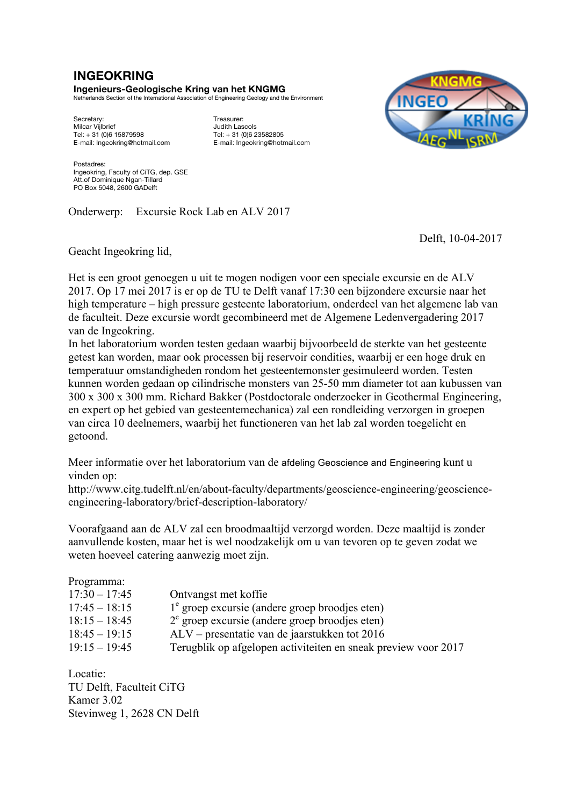## **INGEOKRING**

**Ingenieurs-Geologische Kring van het KNGMG** Netherlands Section of the International Association of Engineering Geology and the Environment

Secretary: Treasurer: Treasurer:<br>
Milcar Viilbrief (Secretary: Secretary: Treasurer: 1999)<br>
Milcar Viilbrief (Secretary: 1999) Milcar Vijlbrief 1990<br>
Tel: + 31 (0)6 15879598<br>
Tel: + 31 (0)6 23582805 E-mail: Ingeokring@hotmail.com E-mail: Ingeokring@hotmail.com

Tel: + 31 (0)6 15879598 Tel: + 31 (0)6 23582805



Postadres: Ingeokring, Faculty of CiTG, dep. GSE Att.of Dominique Ngan-Tillard PO Box 5048, 2600 GADelft

Onderwerp: Excursie Rock Lab en ALV 2017

Delft, 10-04-2017

Geacht Ingeokring lid,

Het is een groot genoegen u uit te mogen nodigen voor een speciale excursie en de ALV 2017. Op 17 mei 2017 is er op de TU te Delft vanaf 17:30 een bijzondere excursie naar het high temperature – high pressure gesteente laboratorium, onderdeel van het algemene lab van de faculteit. Deze excursie wordt gecombineerd met de Algemene Ledenvergadering 2017 van de Ingeokring.

In het laboratorium worden testen gedaan waarbij bijvoorbeeld de sterkte van het gesteente getest kan worden, maar ook processen bij reservoir condities, waarbij er een hoge druk en temperatuur omstandigheden rondom het gesteentemonster gesimuleerd worden. Testen kunnen worden gedaan op cilindrische monsters van 25-50 mm diameter tot aan kubussen van 300 x 300 x 300 mm. Richard Bakker (Postdoctorale onderzoeker in Geothermal Engineering, en expert op het gebied van gesteentemechanica) zal een rondleiding verzorgen in groepen van circa 10 deelnemers, waarbij het functioneren van het lab zal worden toegelicht en getoond.

Meer informatie over het laboratorium van de afdeling Geoscience and Engineering kunt u vinden op:

http://www.citg.tudelft.nl/en/about-faculty/departments/geoscience-engineering/geoscienceengineering-laboratory/brief-description-laboratory/

Voorafgaand aan de ALV zal een broodmaaltijd verzorgd worden. Deze maaltijd is zonder aanvullende kosten, maar het is wel noodzakelijk om u van tevoren op te geven zodat we weten hoeveel catering aanwezig moet zijn.

## Programma:

| $17:30 - 17:45$ | Ontvangst met koffie                                           |
|-----------------|----------------------------------------------------------------|
| $17:45 - 18:15$ | $1e$ groep excursie (andere groep broodjes eten)               |
| $18:15 - 18:45$ | $2^e$ groep excursie (andere groep broodjes eten)              |
| $18:45 - 19:15$ | $ALV$ – presentatie van de jaarstukken tot 2016                |
| $19:15 - 19:45$ | Terugblik op afgelopen activiteiten en sneak preview voor 2017 |
|                 |                                                                |

Locatie: TU Delft, Faculteit CiTG Kamer 3.02 Stevinweg 1, 2628 CN Delft